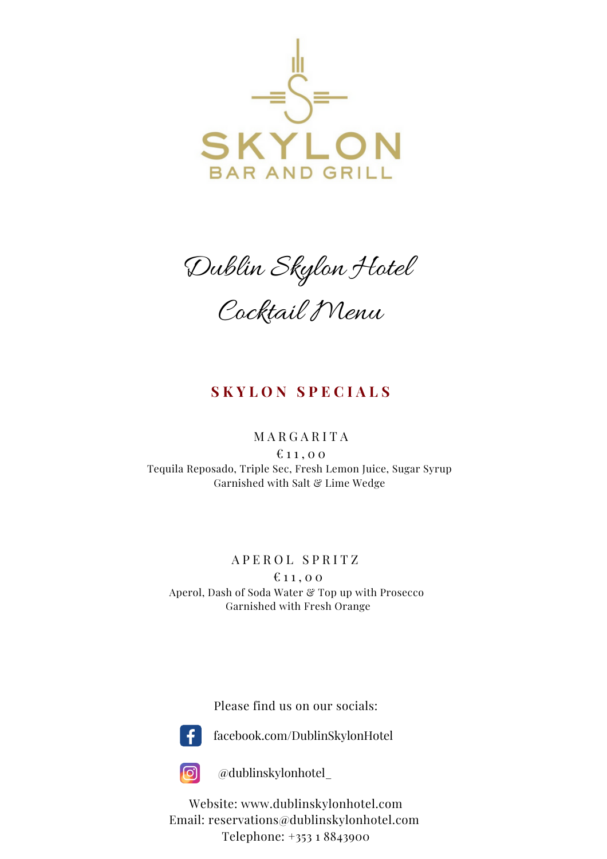

Dublin Skylon Hotel Cocktail Menu

# **S K Y L O N S P E C I A L S**

#### M A R G A R I T A

 $£11,00$ Tequila Reposado, Triple Sec, Fresh Lemon Juice, Sugar Syrup Garnished with Salt & Lime Wedge

### A P E R O L S P R I T Z

 $$11,00$ Aperol, Dash of Soda Water & Top up with Prosecco Garnished with Fresh Orange

Please find us on our socials:



facebook.com/DublinSkylonHotel



@dublinskylonhotel\_

Website: www.dublinskylonhotel.com Email: reservations@dublinskylonhotel.com Telephone: +353 1 8843900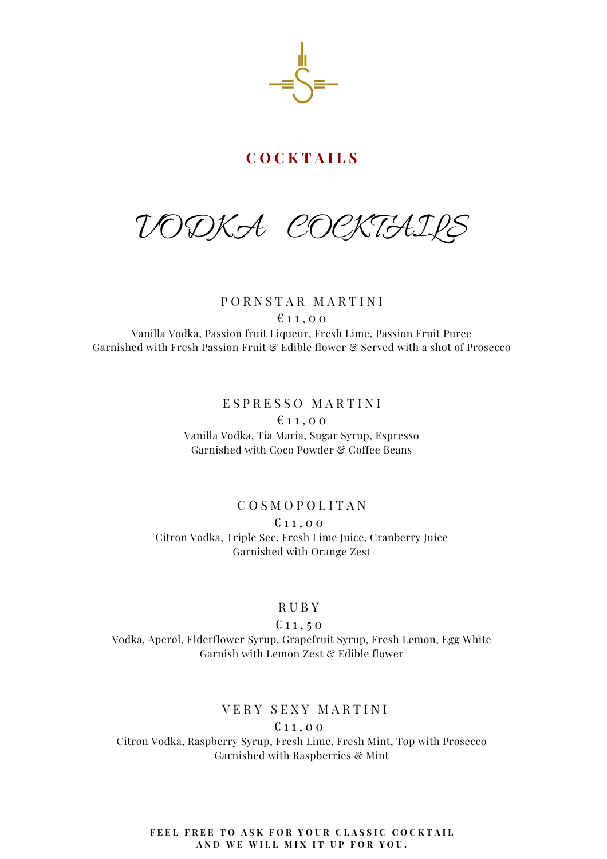VODKA COCKTAILS

P O R N S T A R M A R T I N I  $£11,00$ Vanilla Vodka, Passion fruit Liqueur, Fresh Lime, Passion Fruit Puree Garnished with Fresh Passion Fruit & Edible flower & Served with a shot of Prosecco

> E S P R E S S O M A R T I N I  $f: 11, 00$ Vanilla Vodka, Tia Maria, Sugar Syrup, Espresso Garnished with Coco Powder & Coffee Beans

### C O S M O P O L I T A N

 $£11,00$ Citron Vodka, Triple Sec, Fresh Lime Juice, Cranberry Juice Garnished with Orange Zest

#### R U B Y

 $611, 50$ Vodka, Aperol, Elderflower Syrup, Grapefruit Syrup, Fresh Lemon, Egg White Garnish with Lemon Zest & Edible flower

## VERY SEXY MARTINI

 $£11,00$ 

Citron Vodka, Raspberry Syrup, Fresh Lime, Fresh Mint, Top with Prosecco Garnished with Raspberries & Mint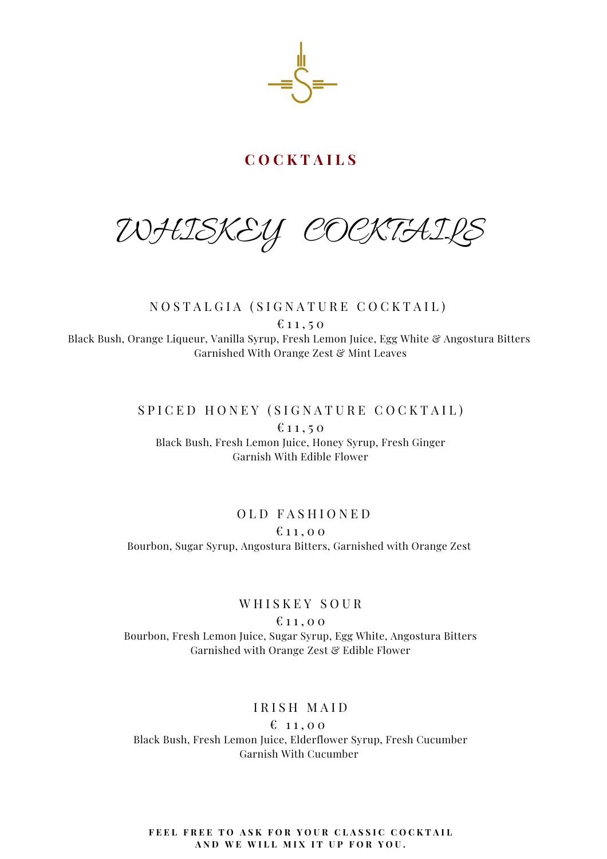

WHISKEY COCKTAI

## NOSTALGIA (SIGNATURE COCKTAIL)  $611, 50$ Black Bush, Orange Liqueur, Vanilla Syrup, Fresh Lemon Juice, Egg White & Angostura Bitters Garnished With Orange Zest & Mint Leaves

### SPICED HONEY (SIGNATURE COCKTAIL)

 $£11,50$ Black Bush, Fresh Lemon Juice, Honey Syrup, Fresh Ginger Garnish With Edible Flower

## OLD FASHIONED  $f: 11, 00$ Bourbon, Sugar Syrup, Angostura Bitters, Garnished with Orange Zest

## WHISKEY SOUR

 $£11,00$ Bourbon, Fresh Lemon Juice, Sugar Syrup, Egg White, Angostura Bitters Garnished with Orange Zest & Edible Flower

### IRISH MAID

 $$11,00$ Black Bush, Fresh Lemon Juice, Elderflower Syrup, Fresh Cucumber Garnish With Cucumber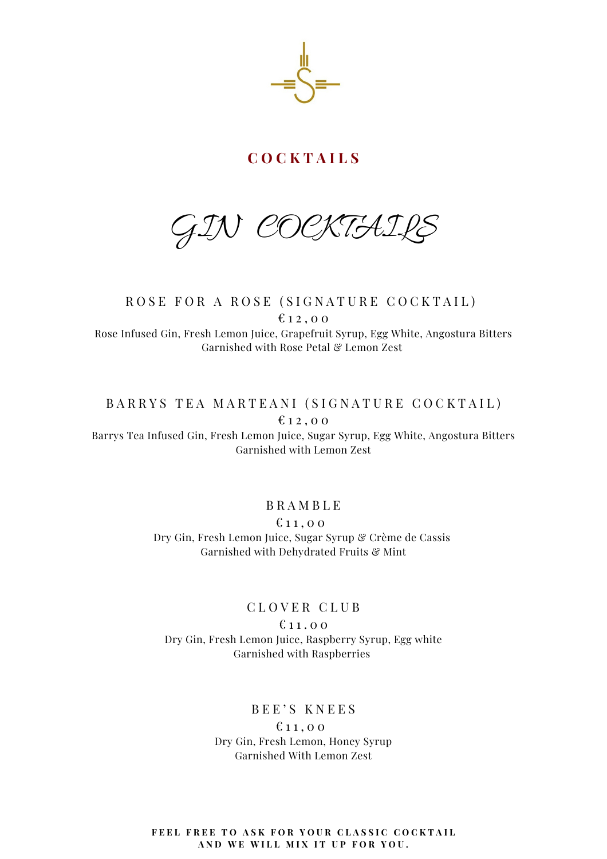GIN COCKTAILS

ROSE FOR A ROSE (SIGNATURE COCKTAIL)  $612,00$ Rose Infused Gin, Fresh Lemon Juice, Grapefruit Syrup, Egg White, Angostura Bitters Garnished with Rose Petal & Lemon Zest

## BARRYS TEA MARTEANI (SIGNATURE COCKTAIL)  $612,00$

Barrys Tea Infused Gin, Fresh Lemon Juice, Sugar Syrup, Egg White, Angostura Bitters Garnished with Lemon Zest

### B R A M B L E

 $611,00$ 

Dry Gin, Fresh Lemon Juice, Sugar Syrup & Crème de Cassis Garnished with Dehydrated Fruits & Mint

#### C L O V E R C L U B

 $£11.00$ Dry Gin, Fresh Lemon Juice, Raspberry Syrup, Egg white Garnished with Raspberries

## BEE'S KNEES

 $611,00$ Dry Gin, Fresh Lemon, Honey Syrup Garnished With Lemon Zest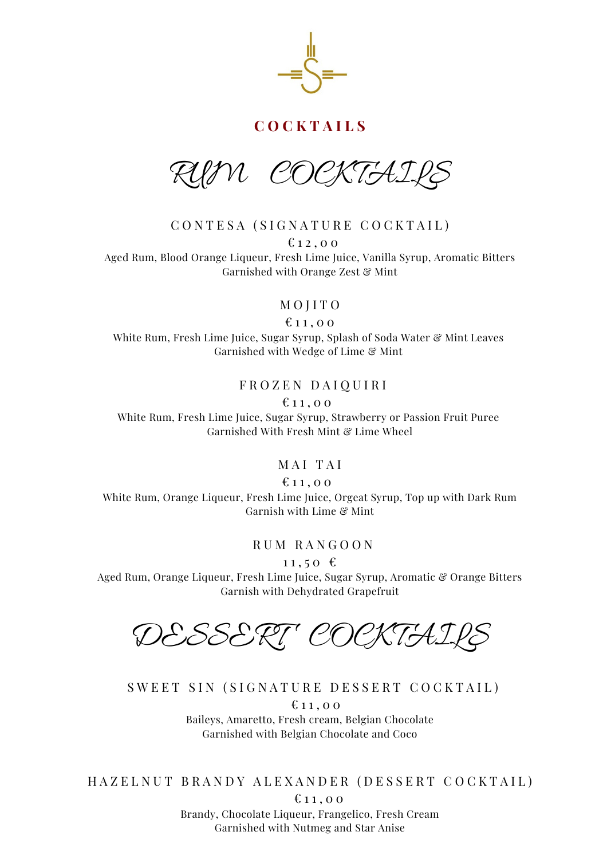

RUM COCKTAILS

CONTESA (SIGNATURE COCKTAIL)

 $£ 12,00$ Aged Rum, Blood Orange Liqueur, Fresh Lime Juice, Vanilla Syrup, Aromatic Bitters Garnished with Orange Zest & Mint

M O J I T O

 $£11,00$ 

White Rum, Fresh Lime Juice, Sugar Syrup, Splash of Soda Water & Mint Leaves Garnished with Wedge of Lime & Mint

#### F R O Z E N D A I Q U I R I

 $£11,00$ 

White Rum, Fresh Lime Juice, Sugar Syrup, Strawberry or Passion Fruit Puree Garnished With Fresh Mint & Lime Wheel

## MAI TAI

 $£11,00$ 

White Rum, Orange Liqueur, Fresh Lime Juice, Orgeat Syrup, Top up with Dark Rum Garnish with Lime & Mint

R U M R A N G O O N

 $11, 50 \text{ } \in$ 

Aged Rum, Orange Liqueur, Fresh Lime Juice, Sugar Syrup, Aromatic & Orange Bitters Garnish with Dehydrated Grapefruit

DESSERT COCKTAIL

SWEET SIN (SIGNATURE DESSERT COCKTAIL)

 $£11,00$ Baileys, Amaretto, Fresh cream, Belgian Chocolate Garnished with Belgian Chocolate and Coco

HAZELNUT BRANDY ALEXANDER (DESSERT COCKTAIL)

 $£11.00$ 

Brandy, Chocolate Liqueur, Frangelico, Fresh Cream Garnished with Nutmeg and Star Anise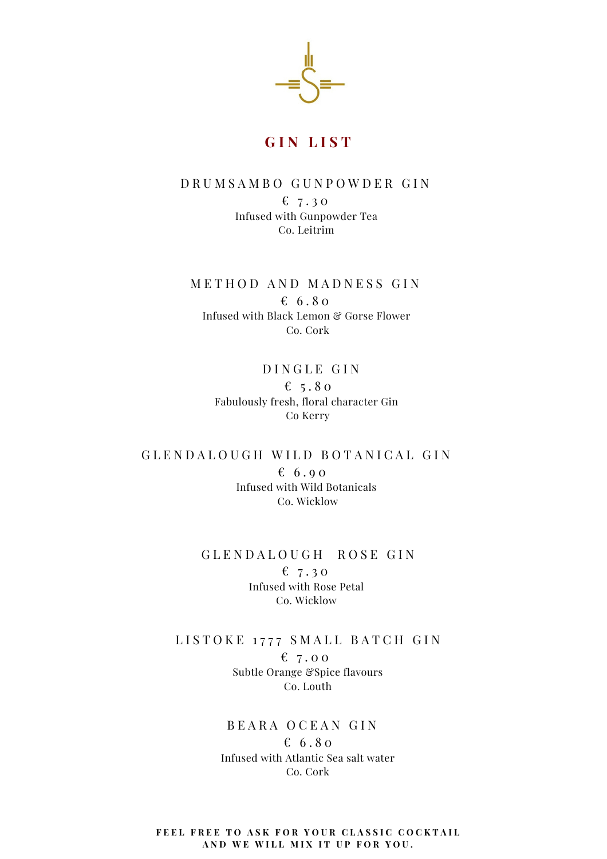

#### D R U M S A M B O G U N P O W D E R G I N

 $67.30$ Infused with Gunpowder Tea Co. Leitrim

METHOD AND MADNESS GIN  $6.80$ Infused with Black Lemon & Gorse Flower Co. Cork

> DINGLE GIN €  $5.80$ Fabulously fresh, floral character Gin Co Kerry

GLENDALOUGH WILD BOTANICAL GIN  $6.90$ Infused with Wild Botanicals Co. Wicklow

#### GLENDALOUGH ROSE GIN

 $67.30$ Infused with Rose Petal Co. Wicklow

LISTOKE 1777 SMALL BATCH GIN  $67.00$ Subtle Orange &Spice flavours Co. Louth

> BEARA OCEAN GIN  $6.80$ Infused with Atlantic Sea salt water Co. Cork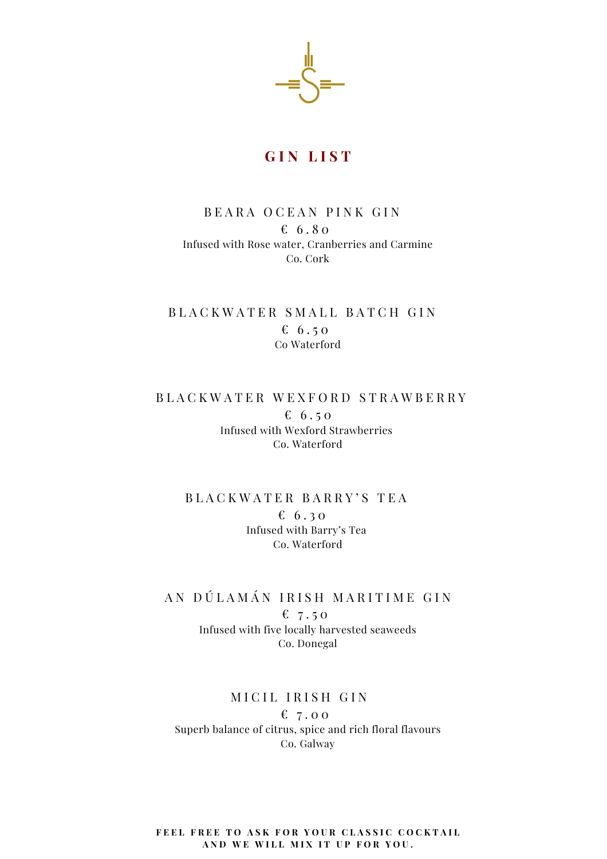

## BEARA OCEAN PINK GIN  $6.80$ Infused with Rose water, Cranberries and Carmine Co. Cork

# BLACKWATER SMALL BATCH GIN  $6.50$ Co Waterford

# B L A C K W A T E R W E X F O R D S T R A W B E R R Y € 6.50 Infused with Wexford Strawberries Co. Waterford

## B L A C K W A T E R B A R R Y ' S T E A  $6.30$ Infused with Barry's Tea Co. Waterford

### AN DÚLAMÁN IRISH MARITIME GIN

€ 7.50 Infused with five locally harvested seaweeds Co. Donegal

### MICIL IRISH GIN

 $67.00$ Superb balance of citrus, spice and rich floral flavours Co. Galway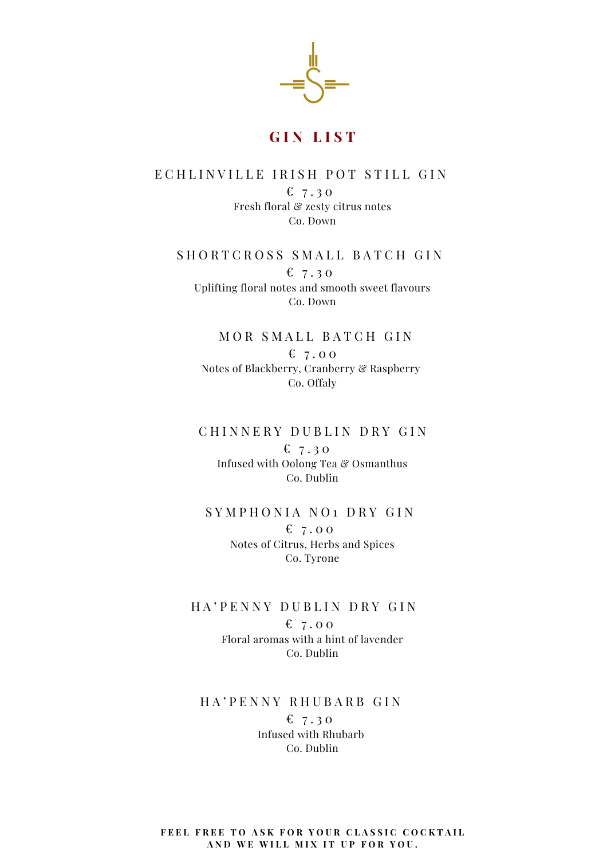

### E CHLINVILLE IRISH POT STILL GIN

 $& 7.30$ Fresh floral & zesty citrus notes Co. Down

#### SHORTCROSS SMALL BATCH GIN

 $6, 7.30$ Uplifting floral notes and smooth sweet flavours Co. Down

MOR SMALL BATCH GIN  $$7.00$ Notes of Blackberry, Cranberry & Raspberry Co. Offaly

#### CHINNERY DUBLIN DRY GIN

 $$7.30$ Infused with Oolong Tea & Osmanthus Co. Dublin

# SYMPHONIA NO<sub>1</sub> DRY GIN  $67.00$ Notes of Citrus, Herbs and Spices

Co. Tyrone

#### HA' PENNY DUBLIN DRY GIN

 $67.00$ Floral aromas with a hint of lavender Co. Dublin

### H A ' P E N N Y R H U B A R B G I N  $$7.30$ Infused with Rhubarb Co. Dublin